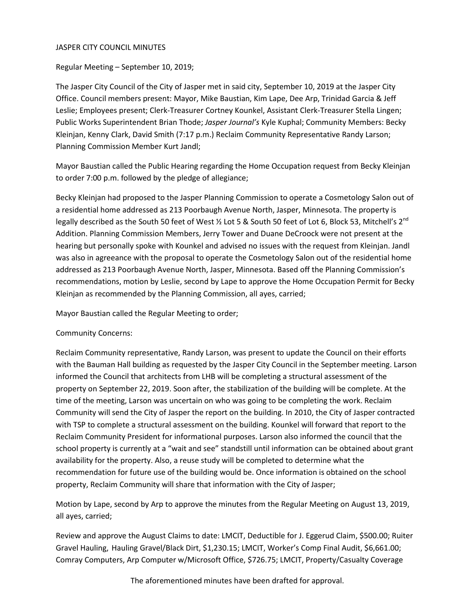#### JASPER CITY COUNCIL MINUTES

Regular Meeting – September 10, 2019;

The Jasper City Council of the City of Jasper met in said city, September 10, 2019 at the Jasper City Office. Council members present: Mayor, Mike Baustian, Kim Lape, Dee Arp, Trinidad Garcia & Jeff Leslie; Employees present; Clerk-Treasurer Cortney Kounkel, Assistant Clerk-Treasurer Stella Lingen; Public Works Superintendent Brian Thode; *Jasper Journal's* Kyle Kuphal; Community Members: Becky Kleinjan, Kenny Clark, David Smith (7:17 p.m.) Reclaim Community Representative Randy Larson; Planning Commission Member Kurt Jandl;

Mayor Baustian called the Public Hearing regarding the Home Occupation request from Becky Kleinjan to order 7:00 p.m. followed by the pledge of allegiance;

Becky Kleinjan had proposed to the Jasper Planning Commission to operate a Cosmetology Salon out of a residential home addressed as 213 Poorbaugh Avenue North, Jasper, Minnesota. The property is legally described as the South 50 feet of West % Lot 5 & South 50 feet of Lot 6, Block 53, Mitchell's 2<sup>nd</sup> Addition. Planning Commission Members, Jerry Tower and Duane DeCroock were not present at the hearing but personally spoke with Kounkel and advised no issues with the request from Kleinjan. Jandl was also in agreeance with the proposal to operate the Cosmetology Salon out of the residential home addressed as 213 Poorbaugh Avenue North, Jasper, Minnesota. Based off the Planning Commission's recommendations, motion by Leslie, second by Lape to approve the Home Occupation Permit for Becky Kleinjan as recommended by the Planning Commission, all ayes, carried;

Mayor Baustian called the Regular Meeting to order;

### Community Concerns:

Reclaim Community representative, Randy Larson, was present to update the Council on their efforts with the Bauman Hall building as requested by the Jasper City Council in the September meeting. Larson informed the Council that architects from LHB will be completing a structural assessment of the property on September 22, 2019. Soon after, the stabilization of the building will be complete. At the time of the meeting, Larson was uncertain on who was going to be completing the work. Reclaim Community will send the City of Jasper the report on the building. In 2010, the City of Jasper contracted with TSP to complete a structural assessment on the building. Kounkel will forward that report to the Reclaim Community President for informational purposes. Larson also informed the council that the school property is currently at a "wait and see" standstill until information can be obtained about grant availability for the property. Also, a reuse study will be completed to determine what the recommendation for future use of the building would be. Once information is obtained on the school property, Reclaim Community will share that information with the City of Jasper;

Motion by Lape, second by Arp to approve the minutes from the Regular Meeting on August 13, 2019, all ayes, carried;

Review and approve the August Claims to date: LMCIT, Deductible for J. Eggerud Claim, \$500.00; Ruiter Gravel Hauling, Hauling Gravel/Black Dirt, \$1,230.15; LMCIT, Worker's Comp Final Audit, \$6,661.00; Comray Computers, Arp Computer w/Microsoft Office, \$726.75; LMCIT, Property/Casualty Coverage

The aforementioned minutes have been drafted for approval.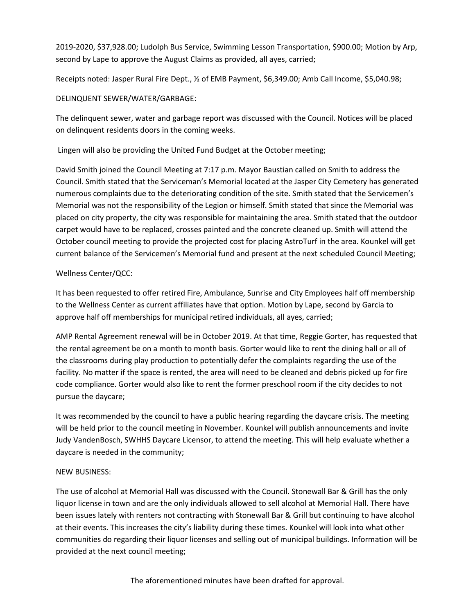2019-2020, \$37,928.00; Ludolph Bus Service, Swimming Lesson Transportation, \$900.00; Motion by Arp, second by Lape to approve the August Claims as provided, all ayes, carried;

Receipts noted: Jasper Rural Fire Dept., ½ of EMB Payment, \$6,349.00; Amb Call Income, \$5,040.98;

## DELINQUENT SEWER/WATER/GARBAGE:

The delinquent sewer, water and garbage report was discussed with the Council. Notices will be placed on delinquent residents doors in the coming weeks.

Lingen will also be providing the United Fund Budget at the October meeting;

David Smith joined the Council Meeting at 7:17 p.m. Mayor Baustian called on Smith to address the Council. Smith stated that the Serviceman's Memorial located at the Jasper City Cemetery has generated numerous complaints due to the deteriorating condition of the site. Smith stated that the Servicemen's Memorial was not the responsibility of the Legion or himself. Smith stated that since the Memorial was placed on city property, the city was responsible for maintaining the area. Smith stated that the outdoor carpet would have to be replaced, crosses painted and the concrete cleaned up. Smith will attend the October council meeting to provide the projected cost for placing AstroTurf in the area. Kounkel will get current balance of the Servicemen's Memorial fund and present at the next scheduled Council Meeting;

## Wellness Center/QCC:

It has been requested to offer retired Fire, Ambulance, Sunrise and City Employees half off membership to the Wellness Center as current affiliates have that option. Motion by Lape, second by Garcia to approve half off memberships for municipal retired individuals, all ayes, carried;

AMP Rental Agreement renewal will be in October 2019. At that time, Reggie Gorter, has requested that the rental agreement be on a month to month basis. Gorter would like to rent the dining hall or all of the classrooms during play production to potentially defer the complaints regarding the use of the facility. No matter if the space is rented, the area will need to be cleaned and debris picked up for fire code compliance. Gorter would also like to rent the former preschool room if the city decides to not pursue the daycare;

It was recommended by the council to have a public hearing regarding the daycare crisis. The meeting will be held prior to the council meeting in November. Kounkel will publish announcements and invite Judy VandenBosch, SWHHS Daycare Licensor, to attend the meeting. This will help evaluate whether a daycare is needed in the community;

# NEW BUSINESS:

The use of alcohol at Memorial Hall was discussed with the Council. Stonewall Bar & Grill has the only liquor license in town and are the only individuals allowed to sell alcohol at Memorial Hall. There have been issues lately with renters not contracting with Stonewall Bar & Grill but continuing to have alcohol at their events. This increases the city's liability during these times. Kounkel will look into what other communities do regarding their liquor licenses and selling out of municipal buildings. Information will be provided at the next council meeting;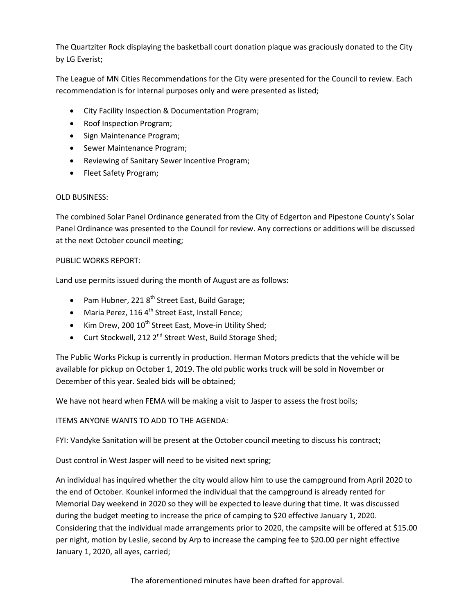The Quartziter Rock displaying the basketball court donation plaque was graciously donated to the City by LG Everist;

The League of MN Cities Recommendations for the City were presented for the Council to review. Each recommendation is for internal purposes only and were presented as listed;

- City Facility Inspection & Documentation Program;
- Roof Inspection Program;
- Sign Maintenance Program;
- Sewer Maintenance Program;
- Reviewing of Sanitary Sewer Incentive Program;
- Fleet Safety Program;

### OLD BUSINESS:

The combined Solar Panel Ordinance generated from the City of Edgerton and Pipestone County's Solar Panel Ordinance was presented to the Council for review. Any corrections or additions will be discussed at the next October council meeting;

### PUBLIC WORKS REPORT:

Land use permits issued during the month of August are as follows:

- Pam Hubner, 221 $8<sup>th</sup>$  Street East, Build Garage;
- Maria Perez, 116  $4^{\text{th}}$  Street East, Install Fence;
- Kim Drew, 200 10<sup>th</sup> Street East, Move-in Utility Shed;
- Curt Stockwell, 212  $2^{nd}$  Street West, Build Storage Shed;

The Public Works Pickup is currently in production. Herman Motors predicts that the vehicle will be available for pickup on October 1, 2019. The old public works truck will be sold in November or December of this year. Sealed bids will be obtained;

We have not heard when FEMA will be making a visit to Jasper to assess the frost boils;

# ITEMS ANYONE WANTS TO ADD TO THE AGENDA:

FYI: Vandyke Sanitation will be present at the October council meeting to discuss his contract;

Dust control in West Jasper will need to be visited next spring;

An individual has inquired whether the city would allow him to use the campground from April 2020 to the end of October. Kounkel informed the individual that the campground is already rented for Memorial Day weekend in 2020 so they will be expected to leave during that time. It was discussed during the budget meeting to increase the price of camping to \$20 effective January 1, 2020. Considering that the individual made arrangements prior to 2020, the campsite will be offered at \$15.00 per night, motion by Leslie, second by Arp to increase the camping fee to \$20.00 per night effective January 1, 2020, all ayes, carried;